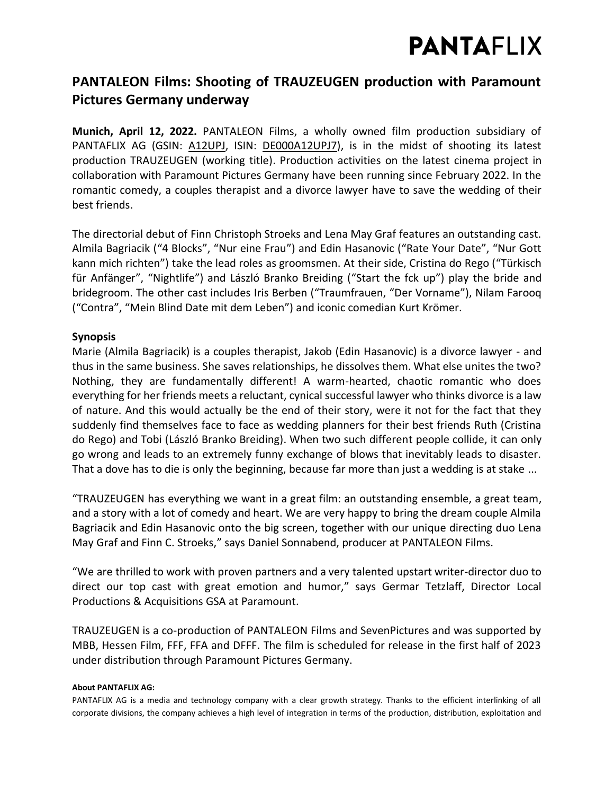## **PANTAFLIX**

### **PANTALEON Films: Shooting of TRAUZEUGEN production with Paramount Pictures Germany underway**

**Munich, April 12, 2022.** PANTALEON Films, a wholly owned film production subsidiary of PANTAFLIX AG (GSIN: [A12UPJ,](https://www.boerse-frankfurt.de/aktie/pantaflix-ag) ISIN: [DE000A12UPJ7\)](https://www.boerse-frankfurt.de/equity/pantaflix-ag), is in the midst of shooting its latest production TRAUZEUGEN (working title). Production activities on the latest cinema project in collaboration with Paramount Pictures Germany have been running since February 2022. In the romantic comedy, a couples therapist and a divorce lawyer have to save the wedding of their best friends.

The directorial debut of Finn Christoph Stroeks and Lena May Graf features an outstanding cast. Almila Bagriacik ("4 Blocks", "Nur eine Frau") and Edin Hasanovic ("Rate Your Date", "Nur Gott kann mich richten") take the lead roles as groomsmen. At their side, Cristina do Rego ("Türkisch für Anfänger", "Nightlife") and László Branko Breiding ("Start the fck up") play the bride and bridegroom. The other cast includes Iris Berben ("Traumfrauen, "Der Vorname"), Nilam Farooq ("Contra", "Mein Blind Date mit dem Leben") and iconic comedian Kurt Krömer.

### **Synopsis**

Marie (Almila Bagriacik) is a couples therapist, Jakob (Edin Hasanovic) is a divorce lawyer - and thus in the same business. She saves relationships, he dissolves them. What else unites the two? Nothing, they are fundamentally different! A warm-hearted, chaotic romantic who does everything for her friends meets a reluctant, cynical successful lawyer who thinks divorce is a law of nature. And this would actually be the end of their story, were it not for the fact that they suddenly find themselves face to face as wedding planners for their best friends Ruth (Cristina do Rego) and Tobi (László Branko Breiding). When two such different people collide, it can only go wrong and leads to an extremely funny exchange of blows that inevitably leads to disaster. That a dove has to die is only the beginning, because far more than just a wedding is at stake ...

"TRAUZEUGEN has everything we want in a great film: an outstanding ensemble, a great team, and a story with a lot of comedy and heart. We are very happy to bring the dream couple Almila Bagriacik and Edin Hasanovic onto the big screen, together with our unique directing duo Lena May Graf and Finn C. Stroeks," says Daniel Sonnabend, producer at PANTALEON Films.

"We are thrilled to work with proven partners and a very talented upstart writer-director duo to direct our top cast with great emotion and humor," says Germar Tetzlaff, Director Local Productions & Acquisitions GSA at Paramount.

TRAUZEUGEN is a co-production of PANTALEON Films and SevenPictures and was supported by MBB, Hessen Film, FFF, FFA and DFFF. The film is scheduled for release in the first half of 2023 under distribution through Paramount Pictures Germany.

#### **About PANTAFLIX AG:**

PANTAFLIX AG is a media and technology company with a clear growth strategy. Thanks to the efficient interlinking of all corporate divisions, the company achieves a high level of integration in terms of the production, distribution, exploitation and